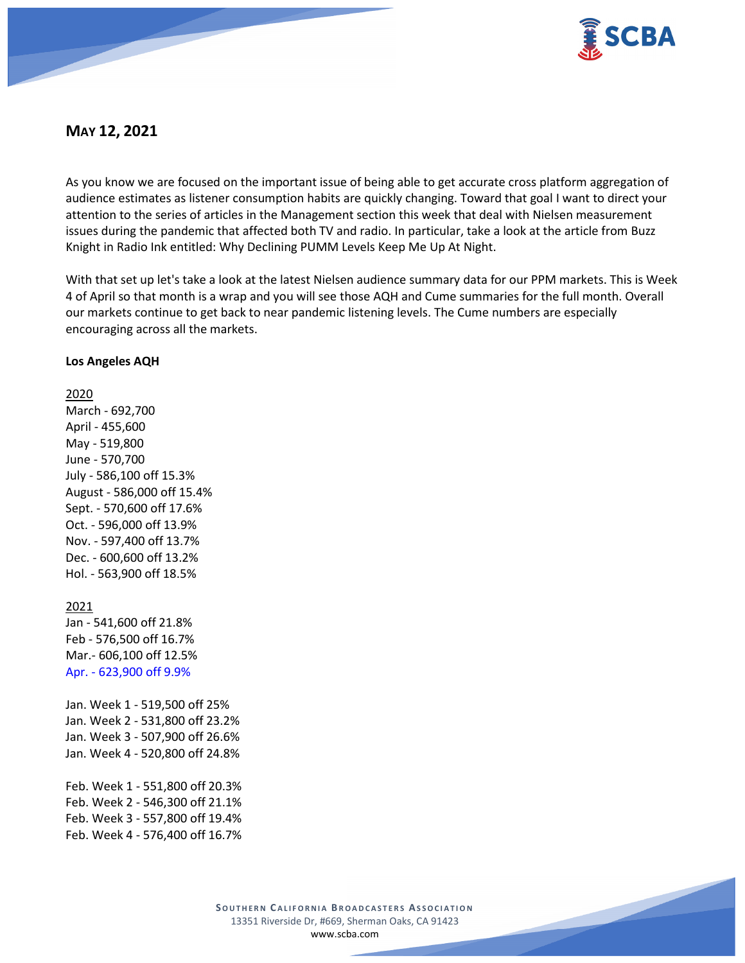

# **MAY 12, 2021**

As you know we are focused on the important issue of being able to get accurate cross platform aggregation of audience estimates as listener consumption habits are quickly changing. Toward that goal I want to direct your attention to the series of articles in the Management section this week that deal with Nielsen measurement issues during the pandemic that affected both TV and radio. In particular, take a look at the article from Buzz Knight in Radio Ink entitled: Why Declining PUMM Levels Keep Me Up At Night.

With that set up let's take a look at the latest Nielsen audience summary data for our PPM markets. This is Week 4 of April so that month is a wrap and you will see those AQH and Cume summaries for the full month. Overall our markets continue to get back to near pandemic listening levels. The Cume numbers are especially encouraging across all the markets.

#### **Los Angeles AQH**

#### 2020

March - 692,700 April - 455,600 May - 519,800 June - 570,700 July - 586,100 off 15.3% August - 586,000 off 15.4% Sept. - 570,600 off 17.6% Oct. - 596,000 off 13.9% Nov. - 597,400 off 13.7% Dec. - 600,600 off 13.2% Hol. - 563,900 off 18.5%

#### 2021

Jan - 541,600 off 21.8% Feb - 576,500 off 16.7% Mar.- 606,100 off 12.5% Apr. - 623,900 off 9.9%

Jan. Week 1 - 519,500 off 25% Jan. Week 2 - 531,800 off 23.2% Jan. Week 3 - 507,900 off 26.6% Jan. Week 4 - 520,800 off 24.8%

Feb. Week 1 - 551,800 off 20.3% Feb. Week 2 - 546,300 off 21.1% Feb. Week 3 - 557,800 off 19.4% Feb. Week 4 - 576,400 off 16.7%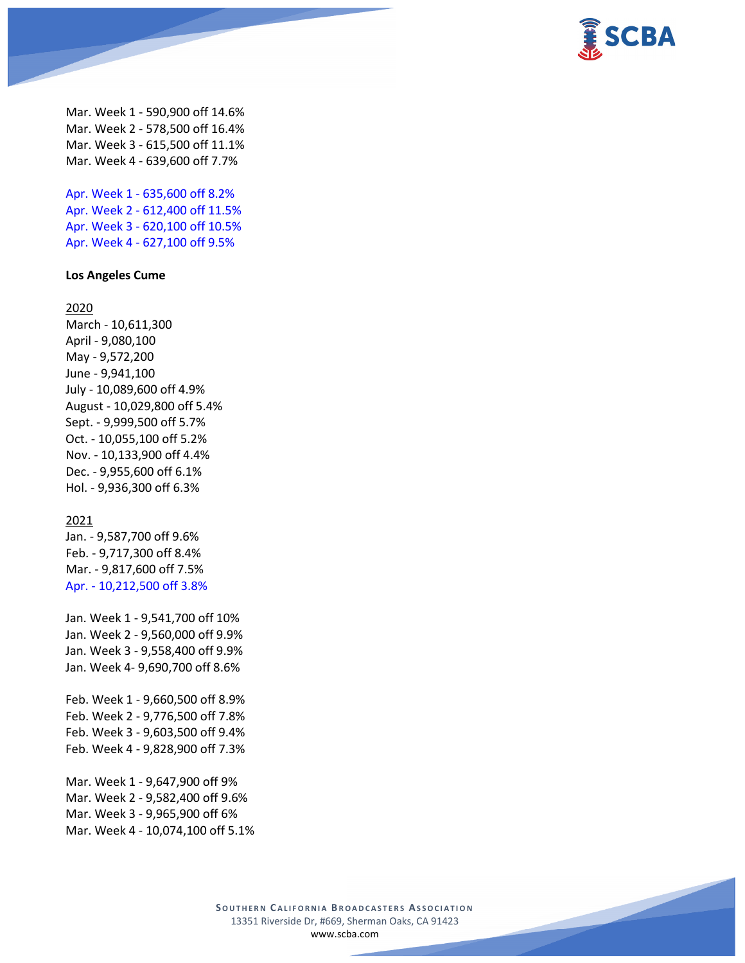

Mar. Week 1 - 590,900 off 14.6% Mar. Week 2 - 578,500 off 16.4% Mar. Week 3 - 615,500 off 11.1% Mar. Week 4 - 639,600 off 7.7%

Apr. Week 1 - 635,600 off 8.2% Apr. Week 2 - 612,400 off 11.5% Apr. Week 3 - 620,100 off 10.5% Apr. Week 4 - 627,100 off 9.5%

## **Los Angeles Cume**

#### 2020

March - 10,611,300 April - 9,080,100 May - 9,572,200 June - 9,941,100 July - 10,089,600 off 4.9% August - 10,029,800 off 5.4% Sept. - 9,999,500 off 5.7% Oct. - 10,055,100 off 5.2% Nov. - 10,133,900 off 4.4% Dec. - 9,955,600 off 6.1% Hol. - 9,936,300 off 6.3%

#### 2021

Jan. - 9,587,700 off 9.6% Feb. - 9,717,300 off 8.4% Mar. - 9,817,600 off 7.5% Apr. - 10,212,500 off 3.8%

Jan. Week 1 - 9,541,700 off 10% Jan. Week 2 - 9,560,000 off 9.9% Jan. Week 3 - 9,558,400 off 9.9% Jan. Week 4- 9,690,700 off 8.6%

Feb. Week 1 - 9,660,500 off 8.9% Feb. Week 2 - 9,776,500 off 7.8% Feb. Week 3 - 9,603,500 off 9.4% Feb. Week 4 - 9,828,900 off 7.3%

Mar. Week 1 - 9,647,900 off 9% Mar. Week 2 - 9,582,400 off 9.6% Mar. Week 3 - 9,965,900 off 6% Mar. Week 4 - 10,074,100 off 5.1%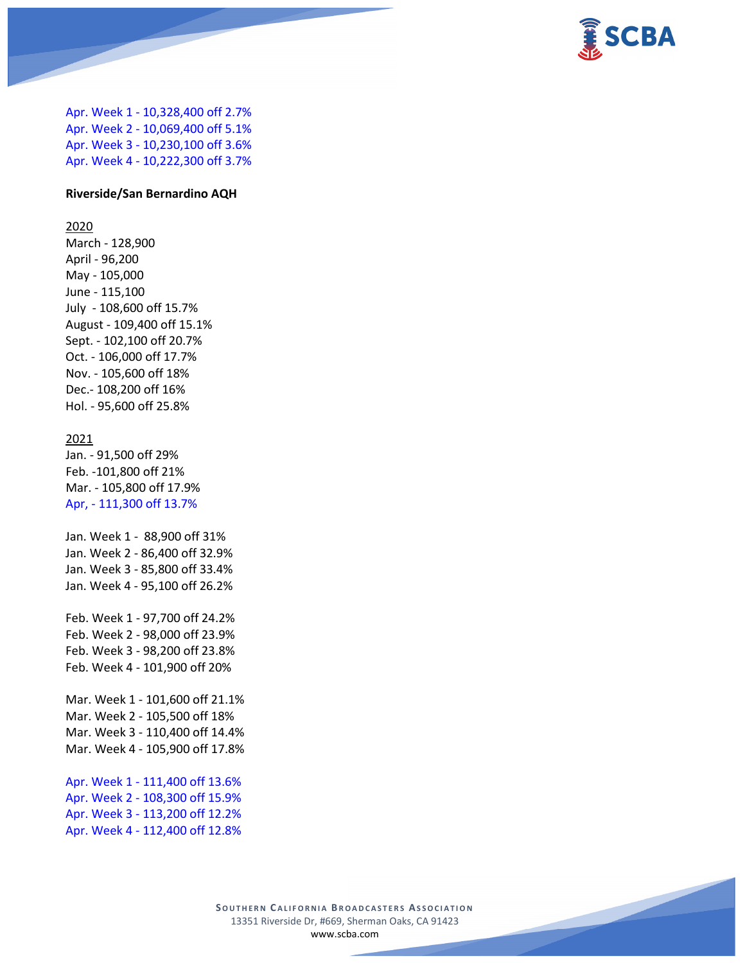

Apr. Week 1 - 10,328,400 off 2.7% Apr. Week 2 - 10,069,400 off 5.1% Apr. Week 3 - 10,230,100 off 3.6% Apr. Week 4 - 10,222,300 off 3.7%

#### **Riverside/San Bernardino AQH**

#### 2020

March - 128,900 April - 96,200 May - 105,000 June - 115,100 July - 108,600 off 15.7% August - 109,400 off 15.1% Sept. - 102,100 off 20.7% Oct. - 106,000 off 17.7% Nov. - 105,600 off 18% Dec.- 108,200 off 16% Hol. - 95,600 off 25.8%

#### 2021

Jan. - 91,500 off 29% Feb. -101,800 off 21% Mar. - 105,800 off 17.9% Apr, - 111,300 off 13.7%

Jan. Week 1 - 88,900 off 31% Jan. Week 2 - 86,400 off 32.9% Jan. Week 3 - 85,800 off 33.4% Jan. Week 4 - 95,100 off 26.2%

Feb. Week 1 - 97,700 off 24.2% Feb. Week 2 - 98,000 off 23.9% Feb. Week 3 - 98,200 off 23.8% Feb. Week 4 - 101,900 off 20%

Mar. Week 1 - 101,600 off 21.1% Mar. Week 2 - 105,500 off 18% Mar. Week 3 - 110,400 off 14.4% Mar. Week 4 - 105,900 off 17.8%

Apr. Week 1 - 111,400 off 13.6% Apr. Week 2 - 108,300 off 15.9% Apr. Week 3 - 113,200 off 12.2% Apr. Week 4 - 112,400 off 12.8%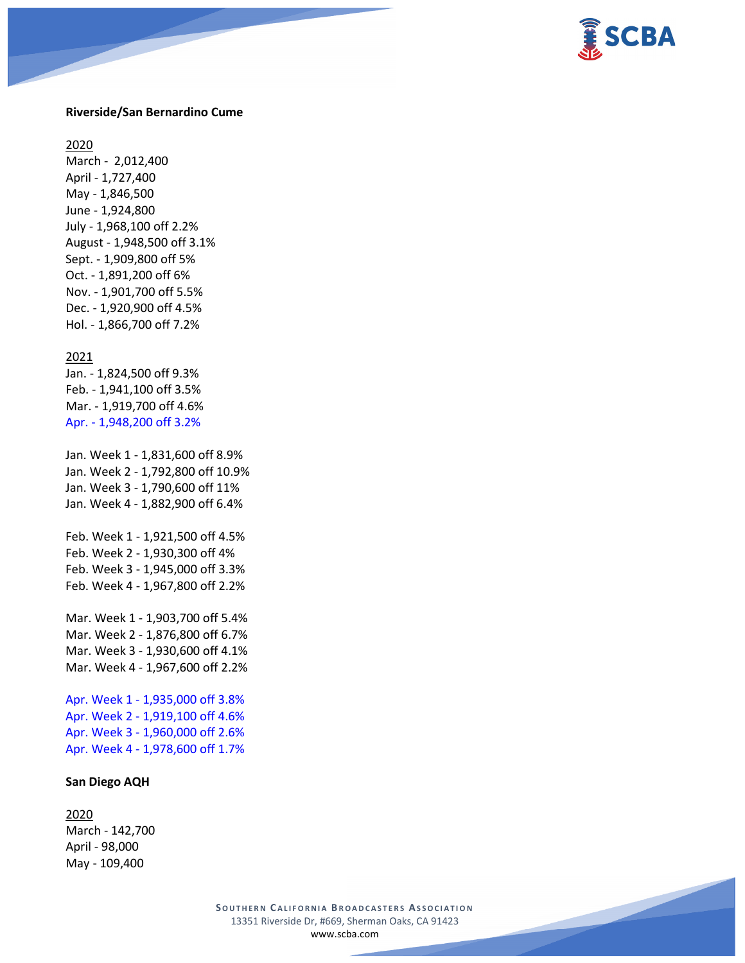

#### **Riverside/San Bernardino Cume**

2020

March - 2,012,400 April - 1,727,400 May - 1,846,500 June - 1,924,800 July - 1,968,100 off 2.2% August - 1,948,500 off 3.1% Sept. - 1,909,800 off 5% Oct. - 1,891,200 off 6% Nov. - 1,901,700 off 5.5% Dec. - 1,920,900 off 4.5% Hol. - 1,866,700 off 7.2%

#### 2021

Jan. - 1,824,500 off 9.3% Feb. - 1,941,100 off 3.5% Mar. - 1,919,700 off 4.6% Apr. - 1,948,200 off 3.2%

Jan. Week 1 - 1,831,600 off 8.9% Jan. Week 2 - 1,792,800 off 10.9% Jan. Week 3 - 1,790,600 off 11% Jan. Week 4 - 1,882,900 off 6.4%

Feb. Week 1 - 1,921,500 off 4.5% Feb. Week 2 - 1,930,300 off 4% Feb. Week 3 - 1,945,000 off 3.3% Feb. Week 4 - 1,967,800 off 2.2%

Mar. Week 1 - 1,903,700 off 5.4% Mar. Week 2 - 1,876,800 off 6.7% Mar. Week 3 - 1,930,600 off 4.1% Mar. Week 4 - 1,967,600 off 2.2%

Apr. Week 1 - 1,935,000 off 3.8% Apr. Week 2 - 1,919,100 off 4.6% Apr. Week 3 - 1,960,000 off 2.6% Apr. Week 4 - 1,978,600 off 1.7%

#### **San Diego AQH**

#### 2020

March - 142,700 April - 98,000 May - 109,400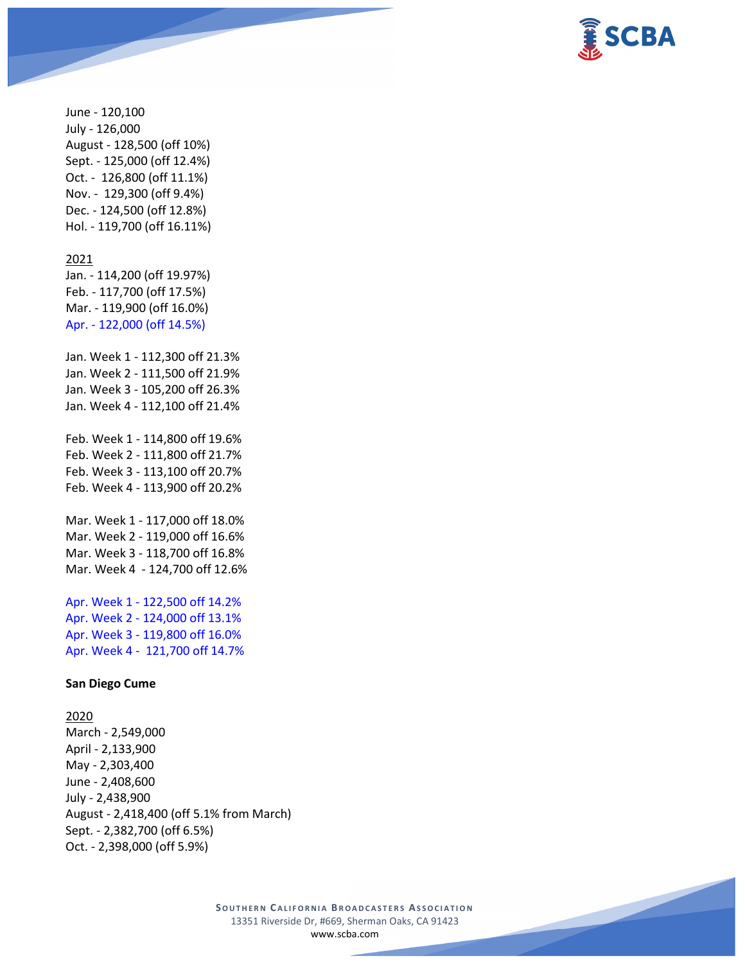

June - 120,100 July - 126,000 August - 128,500 (off 10%) Sept. - 125,000 (off 12.4%) Oct. - 126,800 (off 11.1%) Nov. - 129,300 (off 9.4%) Dec. - 124,500 (off 12.8%) Hol. - 119,700 (off 16.11%)

#### 2021

Jan. - 114,200 (off 19.97%) Feb. - 117,700 (off 17.5%) Mar. - 119,900 (off 16.0%) Apr. - 122,000 (off 14.5%)

Jan. Week 1 - 112,300 off 21.3% Jan. Week 2 - 111,500 off 21.9% Jan. Week 3 - 105,200 off 26.3% Jan. Week 4 - 112,100 off 21.4%

Feb. Week 1 - 114,800 off 19.6% Feb. Week 2 - 111,800 off 21.7% Feb. Week 3 - 113,100 off 20.7% Feb. Week 4 - 113,900 off 20.2%

Mar. Week 1 - 117,000 off 18.0% Mar. Week 2 - 119,000 off 16.6% Mar. Week 3 - 118,700 off 16.8% Mar. Week 4 - 124,700 off 12.6%

Apr. Week 1 - 122,500 off 14.2% Apr. Week 2 - 124,000 off 13.1% Apr. Week 3 - 119,800 off 16.0% Apr. Week 4 - 121,700 off 14.7%

#### **San Diego Cume**

## 2020

March - 2,549,000 April - 2,133,900 May - 2,303,400 June - 2,408,600 July - 2,438,900 August - 2,418,400 (off 5.1% from March) Sept. - 2,382,700 (off 6.5%) Oct. - 2,398,000 (off 5.9%)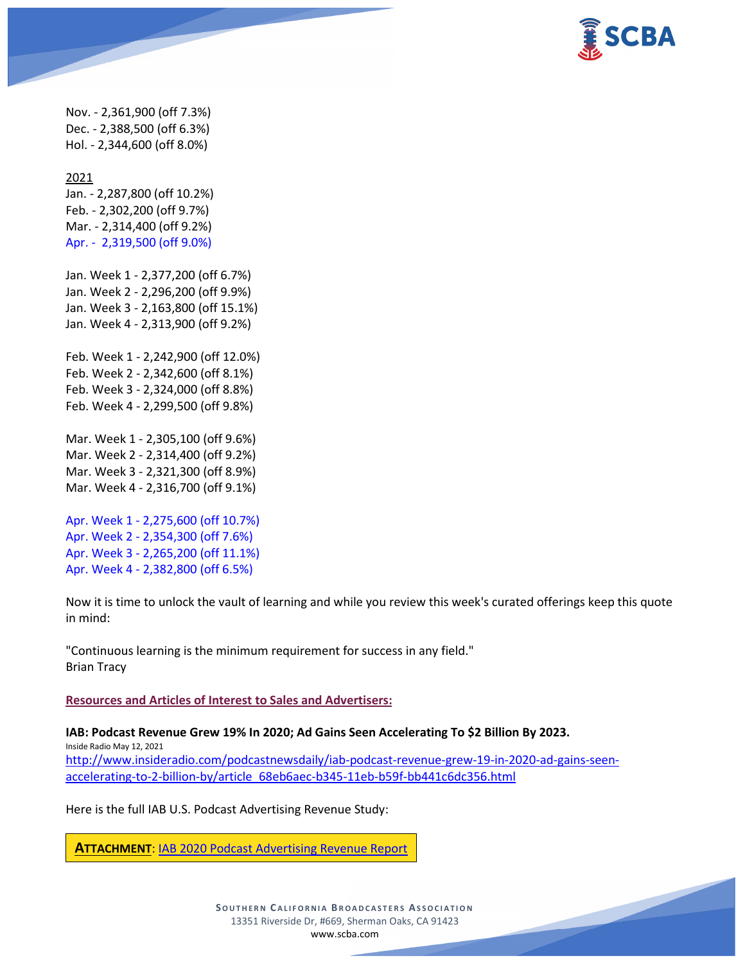

Nov. - 2,361,900 (off 7.3%) Dec. - 2,388,500 (off 6.3%) Hol. - 2,344,600 (off 8.0%)

2021 Jan. - 2,287,800 (off 10.2%) Feb. - 2,302,200 (off 9.7%) Mar. - 2,314,400 (off 9.2%) Apr. - 2,319,500 (off 9.0%)

Jan. Week 1 - 2,377,200 (off 6.7%) Jan. Week 2 - 2,296,200 (off 9.9%) Jan. Week 3 - 2,163,800 (off 15.1%) Jan. Week 4 - 2,313,900 (off 9.2%)

Feb. Week 1 - 2,242,900 (off 12.0%) Feb. Week 2 - 2,342,600 (off 8.1%) Feb. Week 3 - 2,324,000 (off 8.8%) Feb. Week 4 - 2,299,500 (off 9.8%)

Mar. Week 1 - 2,305,100 (off 9.6%) Mar. Week 2 - 2,314,400 (off 9.2%) Mar. Week 3 - 2,321,300 (off 8.9%) Mar. Week 4 - 2,316,700 (off 9.1%)

Apr. Week 1 - 2,275,600 (off 10.7%) Apr. Week 2 - 2,354,300 (off 7.6%) Apr. Week 3 - 2,265,200 (off 11.1%) Apr. Week 4 - 2,382,800 (off 6.5%)

Now it is time to unlock the vault of learning and while you review this week's curated offerings keep this quote in mind:

"Continuous learning is the minimum requirement for success in any field." Brian Tracy

**Resources and Articles of Interest to Sales and Advertisers:**

**IAB: Podcast Revenue Grew 19% In 2020; Ad Gains Seen Accelerating To \$2 Billion By 2023.**

Inside Radio May 12, 2021 [http://www.insideradio.com/podcastnewsdaily/iab-podcast-revenue-grew-19-in-2020-ad-gains-seen](http://www.insideradio.com/podcastnewsdaily/iab-podcast-revenue-grew-19-in-2020-ad-gains-seen-accelerating-to-2-billion-by/article_68eb6aec-b345-11eb-b59f-bb441c6dc356.html)[accelerating-to-2-billion-by/article\\_68eb6aec-b345-11eb-b59f-bb441c6dc356.html](http://www.insideradio.com/podcastnewsdaily/iab-podcast-revenue-grew-19-in-2020-ad-gains-seen-accelerating-to-2-billion-by/article_68eb6aec-b345-11eb-b59f-bb441c6dc356.html)

Here is the full IAB U.S. Podcast Advertising Revenue Study:

**ATTACHMENT**: [IAB 2020 Podcast Advertising](https://scba.com/iab_2020_podcast_advertising_revenue_report_2021-05-pptx/) Revenue Report

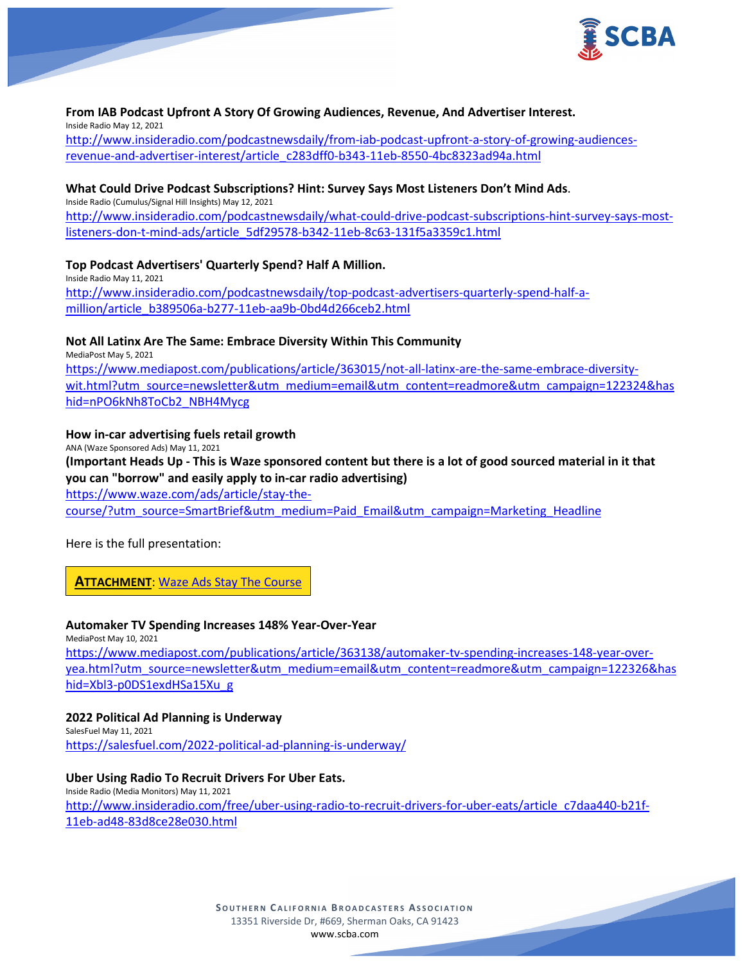

#### **From IAB Podcast Upfront A Story Of Growing Audiences, Revenue, And Advertiser Interest.** Inside Radio May 12, 2021

[http://www.insideradio.com/podcastnewsdaily/from-iab-podcast-upfront-a-story-of-growing-audiences](http://www.insideradio.com/podcastnewsdaily/from-iab-podcast-upfront-a-story-of-growing-audiences-revenue-and-advertiser-interest/article_c283dff0-b343-11eb-8550-4bc8323ad94a.html)[revenue-and-advertiser-interest/article\\_c283dff0-b343-11eb-8550-4bc8323ad94a.html](http://www.insideradio.com/podcastnewsdaily/from-iab-podcast-upfront-a-story-of-growing-audiences-revenue-and-advertiser-interest/article_c283dff0-b343-11eb-8550-4bc8323ad94a.html)

# **What Could Drive Podcast Subscriptions? Hint: Survey Says Most Listeners Don't Mind Ads**.

Inside Radio (Cumulus/Signal Hill Insights) May 12, 2021

[http://www.insideradio.com/podcastnewsdaily/what-could-drive-podcast-subscriptions-hint-survey-says-most](http://www.insideradio.com/podcastnewsdaily/what-could-drive-podcast-subscriptions-hint-survey-says-most-listeners-don-t-mind-ads/article_5df29578-b342-11eb-8c63-131f5a3359c1.html)[listeners-don-t-mind-ads/article\\_5df29578-b342-11eb-8c63-131f5a3359c1.html](http://www.insideradio.com/podcastnewsdaily/what-could-drive-podcast-subscriptions-hint-survey-says-most-listeners-don-t-mind-ads/article_5df29578-b342-11eb-8c63-131f5a3359c1.html)

**Top Podcast Advertisers' Quarterly Spend? Half A Million.** Inside Radio May 11, 2021 [http://www.insideradio.com/podcastnewsdaily/top-podcast-advertisers-quarterly-spend-half-a](http://www.insideradio.com/podcastnewsdaily/top-podcast-advertisers-quarterly-spend-half-a-million/article_b389506a-b277-11eb-aa9b-0bd4d266ceb2.html)[million/article\\_b389506a-b277-11eb-aa9b-0bd4d266ceb2.html](http://www.insideradio.com/podcastnewsdaily/top-podcast-advertisers-quarterly-spend-half-a-million/article_b389506a-b277-11eb-aa9b-0bd4d266ceb2.html)

## **Not All Latinx Are The Same: Embrace Diversity Within This Community**

MediaPost May 5, 2021 [https://www.mediapost.com/publications/article/363015/not-all-latinx-are-the-same-embrace-diversity](https://www.mediapost.com/publications/article/363015/not-all-latinx-are-the-same-embrace-diversity-wit.html?utm_source=newsletter&utm_medium=email&utm_content=readmore&utm_campaign=122324&hashid=nPO6kNh8ToCb2_NBH4Mycg)[wit.html?utm\\_source=newsletter&utm\\_medium=email&utm\\_content=readmore&utm\\_campaign=122324&has](https://www.mediapost.com/publications/article/363015/not-all-latinx-are-the-same-embrace-diversity-wit.html?utm_source=newsletter&utm_medium=email&utm_content=readmore&utm_campaign=122324&hashid=nPO6kNh8ToCb2_NBH4Mycg) [hid=nPO6kNh8ToCb2\\_NBH4Mycg](https://www.mediapost.com/publications/article/363015/not-all-latinx-are-the-same-embrace-diversity-wit.html?utm_source=newsletter&utm_medium=email&utm_content=readmore&utm_campaign=122324&hashid=nPO6kNh8ToCb2_NBH4Mycg)

## **How in-car advertising fuels retail growth**

ANA (Waze Sponsored Ads) May 11, 2021

# **(Important Heads Up - This is Waze sponsored content but there is a lot of good sourced material in it that you can "borrow" and easily apply to in-car radio advertising)**

[https://www.waze.com/ads/article/stay-the](https://www.waze.com/ads/article/stay-the-course/?utm_source=SmartBrief&utm_medium=Paid_Email&utm_campaign=Marketing_Headline)[course/?utm\\_source=SmartBrief&utm\\_medium=Paid\\_Email&utm\\_campaign=Marketing\\_Headline](https://www.waze.com/ads/article/stay-the-course/?utm_source=SmartBrief&utm_medium=Paid_Email&utm_campaign=Marketing_Headline)

Here is the full presentation:

**ATTACHMENT**: Waze [Ads Stay The Course](https://scba.com/waze_ads_stay_the_course/)

#### **Automaker TV Spending Increases 148% Year-Over-Year**

MediaPost May 10, 2021 [https://www.mediapost.com/publications/article/363138/automaker-tv-spending-increases-148-year-over](https://www.mediapost.com/publications/article/363138/automaker-tv-spending-increases-148-year-over-yea.html?utm_source=newsletter&utm_medium=email&utm_content=readmore&utm_campaign=122326&hashid=Xbl3-p0DS1exdHSa15Xu_g)[yea.html?utm\\_source=newsletter&utm\\_medium=email&utm\\_content=readmore&utm\\_campaign=122326&has](https://www.mediapost.com/publications/article/363138/automaker-tv-spending-increases-148-year-over-yea.html?utm_source=newsletter&utm_medium=email&utm_content=readmore&utm_campaign=122326&hashid=Xbl3-p0DS1exdHSa15Xu_g) [hid=Xbl3-p0DS1exdHSa15Xu\\_g](https://www.mediapost.com/publications/article/363138/automaker-tv-spending-increases-148-year-over-yea.html?utm_source=newsletter&utm_medium=email&utm_content=readmore&utm_campaign=122326&hashid=Xbl3-p0DS1exdHSa15Xu_g)

# **2022 Political Ad Planning is Underway**

SalesFuel May 11, 2021 <https://salesfuel.com/2022-political-ad-planning-is-underway/>

# **Uber Using Radio To Recruit Drivers For Uber Eats.**

Inside Radio (Media Monitors) May 11, 2021 [http://www.insideradio.com/free/uber-using-radio-to-recruit-drivers-for-uber-eats/article\\_c7daa440-b21f-](http://www.insideradio.com/free/uber-using-radio-to-recruit-drivers-for-uber-eats/article_c7daa440-b21f-11eb-ad48-83d8ce28e030.html)[11eb-ad48-83d8ce28e030.html](http://www.insideradio.com/free/uber-using-radio-to-recruit-drivers-for-uber-eats/article_c7daa440-b21f-11eb-ad48-83d8ce28e030.html)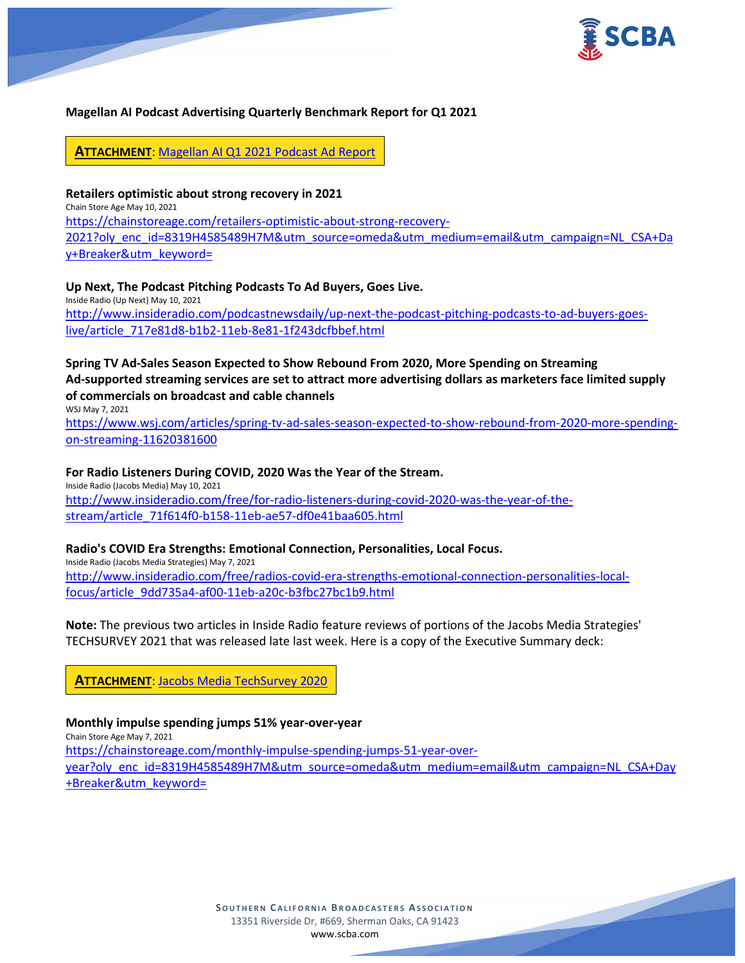

# **Magellan AI Podcast Advertising Quarterly Benchmark Report for Q1 2021**

**ATTACHMENT**: Magellan [AI Q1 2021 Podcast Ad Report](https://scba.com/magellan-ai-q121-benchmark-report-2/)

**Retailers optimistic about strong recovery in 2021** Chain Store Age May 10, 2021 [https://chainstoreage.com/retailers-optimistic-about-strong-recovery-](https://chainstoreage.com/retailers-optimistic-about-strong-recovery-2021?oly_enc_id=8319H4585489H7M&utm_source=omeda&utm_medium=email&utm_campaign=NL_CSA+Day+Breaker&utm_keyword=)[2021?oly\\_enc\\_id=8319H4585489H7M&utm\\_source=omeda&utm\\_medium=email&utm\\_campaign=NL\\_CSA+Da](https://chainstoreage.com/retailers-optimistic-about-strong-recovery-2021?oly_enc_id=8319H4585489H7M&utm_source=omeda&utm_medium=email&utm_campaign=NL_CSA+Day+Breaker&utm_keyword=) [y+Breaker&utm\\_keyword=](https://chainstoreage.com/retailers-optimistic-about-strong-recovery-2021?oly_enc_id=8319H4585489H7M&utm_source=omeda&utm_medium=email&utm_campaign=NL_CSA+Day+Breaker&utm_keyword=)

**Up Next, The Podcast Pitching Podcasts To Ad Buyers, Goes Live.** Inside Radio (Up Next) May 10, 2021 [http://www.insideradio.com/podcastnewsdaily/up-next-the-podcast-pitching-podcasts-to-ad-buyers-goes](http://www.insideradio.com/podcastnewsdaily/up-next-the-podcast-pitching-podcasts-to-ad-buyers-goes-live/article_717e81d8-b1b2-11eb-8e81-1f243dcfbbef.html)[live/article\\_717e81d8-b1b2-11eb-8e81-1f243dcfbbef.html](http://www.insideradio.com/podcastnewsdaily/up-next-the-podcast-pitching-podcasts-to-ad-buyers-goes-live/article_717e81d8-b1b2-11eb-8e81-1f243dcfbbef.html)

#### **Spring TV Ad-Sales Season Expected to Show Rebound From 2020, More Spending on Streaming Ad-supported streaming services are set to attract more advertising dollars as marketers face limited supply of commercials on broadcast and cable channels** WSJ May 7, 2021

[https://www.wsj.com/articles/spring-tv-ad-sales-season-expected-to-show-rebound-from-2020-more-spending](https://www.wsj.com/articles/spring-tv-ad-sales-season-expected-to-show-rebound-from-2020-more-spending-on-streaming-11620381600)[on-streaming-11620381600](https://www.wsj.com/articles/spring-tv-ad-sales-season-expected-to-show-rebound-from-2020-more-spending-on-streaming-11620381600)

#### **For Radio Listeners During COVID, 2020 Was the Year of the Stream.**

Inside Radio (Jacobs Media) May 10, 2021 [http://www.insideradio.com/free/for-radio-listeners-during-covid-2020-was-the-year-of-the](http://www.insideradio.com/free/for-radio-listeners-during-covid-2020-was-the-year-of-the-stream/article_71f614f0-b158-11eb-ae57-df0e41baa605.html)[stream/article\\_71f614f0-b158-11eb-ae57-df0e41baa605.html](http://www.insideradio.com/free/for-radio-listeners-during-covid-2020-was-the-year-of-the-stream/article_71f614f0-b158-11eb-ae57-df0e41baa605.html)

#### **Radio's COVID Era Strengths: Emotional Connection, Personalities, Local Focus.**

Inside Radio (Jacobs Media Strategies) May 7, 2021 [http://www.insideradio.com/free/radios-covid-era-strengths-emotional-connection-personalities-local](http://www.insideradio.com/free/radios-covid-era-strengths-emotional-connection-personalities-local-focus/article_9dd735a4-af00-11eb-a20c-b3fbc27bc1b9.html)[focus/article\\_9dd735a4-af00-11eb-a20c-b3fbc27bc1b9.html](http://www.insideradio.com/free/radios-covid-era-strengths-emotional-connection-personalities-local-focus/article_9dd735a4-af00-11eb-a20c-b3fbc27bc1b9.html)

**Note:** The previous two articles in Inside Radio feature reviews of portions of the Jacobs Media Strategies' TECHSURVEY 2021 that was released late last week. Here is a copy of the Executive Summary deck:

**ATTACHMENT**: [Jacobs Media TechSurvey 2020](https://scba.com/jacobs-media-techsurvey-2020/)

#### **Monthly impulse spending jumps 51% year-over-year**

Chain Store Age May 7, 2021

[https://chainstoreage.com/monthly-impulse-spending-jumps-51-year-over](https://chainstoreage.com/monthly-impulse-spending-jumps-51-year-over-year?oly_enc_id=8319H4585489H7M&utm_source=omeda&utm_medium=email&utm_campaign=NL_CSA+Day+Breaker&utm_keyword=)[year?oly\\_enc\\_id=8319H4585489H7M&utm\\_source=omeda&utm\\_medium=email&utm\\_campaign=NL\\_CSA+Day](https://chainstoreage.com/monthly-impulse-spending-jumps-51-year-over-year?oly_enc_id=8319H4585489H7M&utm_source=omeda&utm_medium=email&utm_campaign=NL_CSA+Day+Breaker&utm_keyword=) [+Breaker&utm\\_keyword=](https://chainstoreage.com/monthly-impulse-spending-jumps-51-year-over-year?oly_enc_id=8319H4585489H7M&utm_source=omeda&utm_medium=email&utm_campaign=NL_CSA+Day+Breaker&utm_keyword=)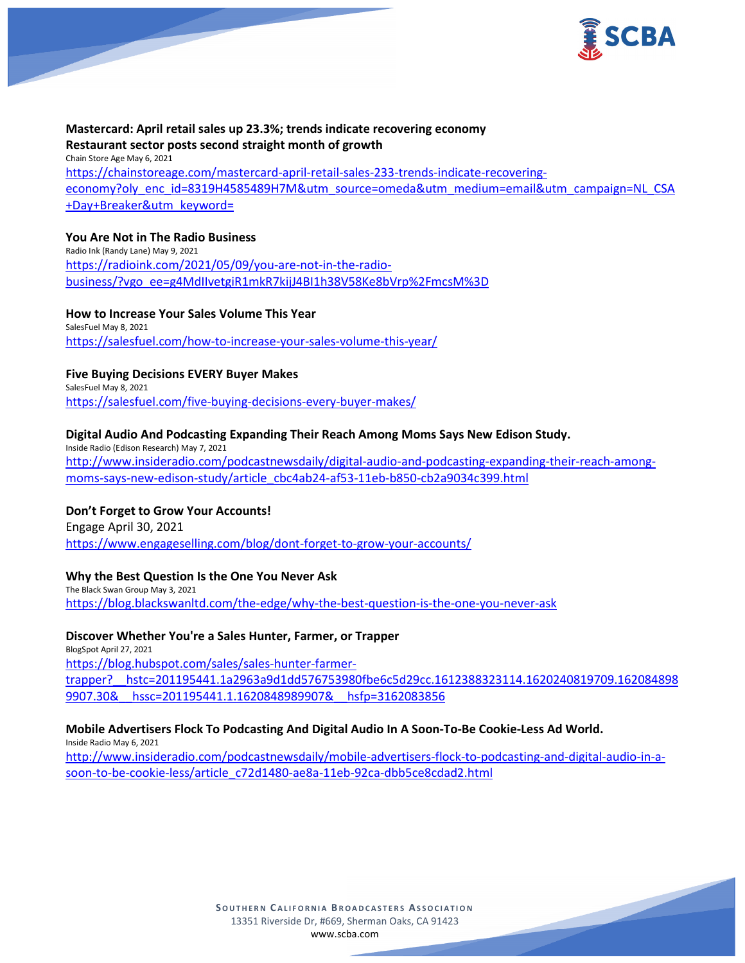

# **Mastercard: April retail sales up 23.3%; trends indicate recovering economy Restaurant sector posts second straight month of growth** Chain Store Age May 6, 2021

[https://chainstoreage.com/mastercard-april-retail-sales-233-trends-indicate-recovering](https://chainstoreage.com/mastercard-april-retail-sales-233-trends-indicate-recovering-economy?oly_enc_id=8319H4585489H7M&utm_source=omeda&utm_medium=email&utm_campaign=NL_CSA+Day+Breaker&utm_keyword=)[economy?oly\\_enc\\_id=8319H4585489H7M&utm\\_source=omeda&utm\\_medium=email&utm\\_campaign=NL\\_CSA](https://chainstoreage.com/mastercard-april-retail-sales-233-trends-indicate-recovering-economy?oly_enc_id=8319H4585489H7M&utm_source=omeda&utm_medium=email&utm_campaign=NL_CSA+Day+Breaker&utm_keyword=) [+Day+Breaker&utm\\_keyword=](https://chainstoreage.com/mastercard-april-retail-sales-233-trends-indicate-recovering-economy?oly_enc_id=8319H4585489H7M&utm_source=omeda&utm_medium=email&utm_campaign=NL_CSA+Day+Breaker&utm_keyword=)

# **You Are Not in The Radio Business**

Radio Ink (Randy Lane) May 9, 2021 [https://radioink.com/2021/05/09/you-are-not-in-the-radio](https://radioink.com/2021/05/09/you-are-not-in-the-radio-business/?vgo_ee=g4MdIIvetgiR1mkR7kijJ4BI1h38V58Ke8bVrp%2FmcsM%3D)[business/?vgo\\_ee=g4MdIIvetgiR1mkR7kijJ4BI1h38V58Ke8bVrp%2FmcsM%3D](https://radioink.com/2021/05/09/you-are-not-in-the-radio-business/?vgo_ee=g4MdIIvetgiR1mkR7kijJ4BI1h38V58Ke8bVrp%2FmcsM%3D)

## **How to Increase Your Sales Volume This Year**

SalesFuel May 8, 2021 <https://salesfuel.com/how-to-increase-your-sales-volume-this-year/>

# **Five Buying Decisions EVERY Buyer Makes**

SalesFuel May 8, 2021 <https://salesfuel.com/five-buying-decisions-every-buyer-makes/>

# **Digital Audio And Podcasting Expanding Their Reach Among Moms Says New Edison Study.**

Inside Radio (Edison Research) May 7, 2021 [http://www.insideradio.com/podcastnewsdaily/digital-audio-and-podcasting-expanding-their-reach-among](http://www.insideradio.com/podcastnewsdaily/digital-audio-and-podcasting-expanding-their-reach-among-moms-says-new-edison-study/article_cbc4ab24-af53-11eb-b850-cb2a9034c399.html)[moms-says-new-edison-study/article\\_cbc4ab24-af53-11eb-b850-cb2a9034c399.html](http://www.insideradio.com/podcastnewsdaily/digital-audio-and-podcasting-expanding-their-reach-among-moms-says-new-edison-study/article_cbc4ab24-af53-11eb-b850-cb2a9034c399.html)

# **Don't Forget to Grow Your Accounts!**

Engage April 30, 2021 <https://www.engageselling.com/blog/dont-forget-to-grow-your-accounts/>

# **Why the Best Question Is the One You Never Ask**

The Black Swan Group May 3, 2021 <https://blog.blackswanltd.com/the-edge/why-the-best-question-is-the-one-you-never-ask>

# **Discover Whether You're a Sales Hunter, Farmer, or Trapper**

BlogSpot April 27, 2021 [https://blog.hubspot.com/sales/sales-hunter-farmer](https://blog.hubspot.com/sales/sales-hunter-farmer-trapper?__hstc=201195441.1a2963a9d1dd576753980fbe6c5d29cc.1612388323114.1620240819709.1620848989907.30&__hssc=201195441.1.1620848989907&__hsfp=3162083856)[trapper?\\_\\_hstc=201195441.1a2963a9d1dd576753980fbe6c5d29cc.1612388323114.1620240819709.162084898](https://blog.hubspot.com/sales/sales-hunter-farmer-trapper?__hstc=201195441.1a2963a9d1dd576753980fbe6c5d29cc.1612388323114.1620240819709.1620848989907.30&__hssc=201195441.1.1620848989907&__hsfp=3162083856) [9907.30&\\_\\_hssc=201195441.1.1620848989907&\\_\\_hsfp=3162083856](https://blog.hubspot.com/sales/sales-hunter-farmer-trapper?__hstc=201195441.1a2963a9d1dd576753980fbe6c5d29cc.1612388323114.1620240819709.1620848989907.30&__hssc=201195441.1.1620848989907&__hsfp=3162083856)

# **Mobile Advertisers Flock To Podcasting And Digital Audio In A Soon-To-Be Cookie-Less Ad World.**

Inside Radio May 6, 2021 [http://www.insideradio.com/podcastnewsdaily/mobile-advertisers-flock-to-podcasting-and-digital-audio-in-a](http://www.insideradio.com/podcastnewsdaily/mobile-advertisers-flock-to-podcasting-and-digital-audio-in-a-soon-to-be-cookie-less/article_c72d1480-ae8a-11eb-92ca-dbb5ce8cdad2.html)[soon-to-be-cookie-less/article\\_c72d1480-ae8a-11eb-92ca-dbb5ce8cdad2.html](http://www.insideradio.com/podcastnewsdaily/mobile-advertisers-flock-to-podcasting-and-digital-audio-in-a-soon-to-be-cookie-less/article_c72d1480-ae8a-11eb-92ca-dbb5ce8cdad2.html)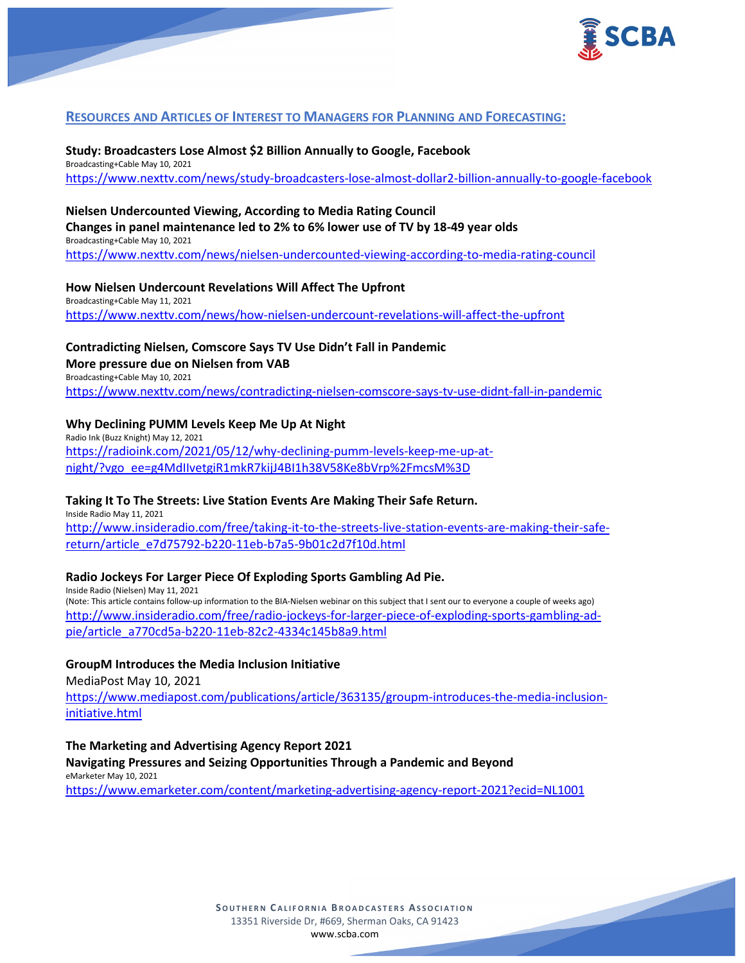

# **RESOURCES AND ARTICLES OF INTEREST TO MANAGERS FOR PLANNING AND FORECASTING:**

**Study: Broadcasters Lose Almost \$2 Billion Annually to Google, Facebook** Broadcasting+Cable May 10, 2021 <https://www.nexttv.com/news/study-broadcasters-lose-almost-dollar2-billion-annually-to-google-facebook>

# **Nielsen Undercounted Viewing, According to Media Rating Council**

**Changes in panel maintenance led to 2% to 6% lower use of TV by 18-49 year olds** Broadcasting+Cable May 10, 2021 <https://www.nexttv.com/news/nielsen-undercounted-viewing-according-to-media-rating-council>

**How Nielsen Undercount Revelations Will Affect The Upfront**

Broadcasting+Cable May 11, 2021 <https://www.nexttv.com/news/how-nielsen-undercount-revelations-will-affect-the-upfront>

# **Contradicting Nielsen, Comscore Says TV Use Didn't Fall in Pandemic**

**More pressure due on Nielsen from VAB**

Broadcasting+Cable May 10, 2021 <https://www.nexttv.com/news/contradicting-nielsen-comscore-says-tv-use-didnt-fall-in-pandemic>

## **Why Declining PUMM Levels Keep Me Up At Night**

Radio Ink (Buzz Knight) May 12, 2021 [https://radioink.com/2021/05/12/why-declining-pumm-levels-keep-me-up-at](https://radioink.com/2021/05/12/why-declining-pumm-levels-keep-me-up-at-night/?vgo_ee=g4MdIIvetgiR1mkR7kijJ4BI1h38V58Ke8bVrp%2FmcsM%3D)[night/?vgo\\_ee=g4MdIIvetgiR1mkR7kijJ4BI1h38V58Ke8bVrp%2FmcsM%3D](https://radioink.com/2021/05/12/why-declining-pumm-levels-keep-me-up-at-night/?vgo_ee=g4MdIIvetgiR1mkR7kijJ4BI1h38V58Ke8bVrp%2FmcsM%3D)

#### **Taking It To The Streets: Live Station Events Are Making Their Safe Return.**

Inside Radio May 11, 2021 [http://www.insideradio.com/free/taking-it-to-the-streets-live-station-events-are-making-their-safe](http://www.insideradio.com/free/taking-it-to-the-streets-live-station-events-are-making-their-safe-return/article_e7d75792-b220-11eb-b7a5-9b01c2d7f10d.html)[return/article\\_e7d75792-b220-11eb-b7a5-9b01c2d7f10d.html](http://www.insideradio.com/free/taking-it-to-the-streets-live-station-events-are-making-their-safe-return/article_e7d75792-b220-11eb-b7a5-9b01c2d7f10d.html)

# **Radio Jockeys For Larger Piece Of Exploding Sports Gambling Ad Pie.**

Inside Radio (Nielsen) May 11, 2021 (Note: This article contains follow-up information to the BIA-Nielsen webinar on this subject that I sent our to everyone a couple of weeks ago) [http://www.insideradio.com/free/radio-jockeys-for-larger-piece-of-exploding-sports-gambling-ad](http://www.insideradio.com/free/radio-jockeys-for-larger-piece-of-exploding-sports-gambling-ad-pie/article_a770cd5a-b220-11eb-82c2-4334c145b8a9.html)[pie/article\\_a770cd5a-b220-11eb-82c2-4334c145b8a9.html](http://www.insideradio.com/free/radio-jockeys-for-larger-piece-of-exploding-sports-gambling-ad-pie/article_a770cd5a-b220-11eb-82c2-4334c145b8a9.html)

# **GroupM Introduces the Media Inclusion Initiative**

MediaPost May 10, 2021

[https://www.mediapost.com/publications/article/363135/groupm-introduces-the-media-inclusion](https://www.mediapost.com/publications/article/363135/groupm-introduces-the-media-inclusion-initiative.html)[initiative.html](https://www.mediapost.com/publications/article/363135/groupm-introduces-the-media-inclusion-initiative.html)

**The Marketing and Advertising Agency Report 2021**

**Navigating Pressures and Seizing Opportunities Through a Pandemic and Beyond** eMarketer May 10, 2021 <https://www.emarketer.com/content/marketing-advertising-agency-report-2021?ecid=NL1001>